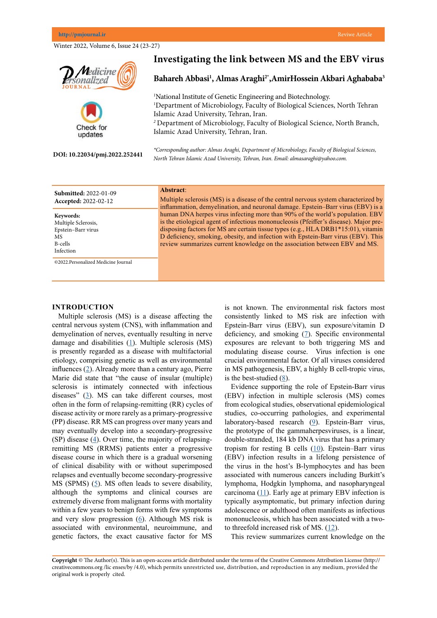Winter 2022, Volume 6, Issue 24 (23-27)



**Keywords:** Multiple Sclerosis, Epstein–Barr virus MS B-cells Infection

©2022.Personalized Medicine Journal

Multiple sclerosis (MS) is a disease of the central nervous system characterized by inflammation, demyelination, and neuronal damage. Epstein–Barr virus (EBV) is a human DNA herpes virus infecting more than 90% of the world's population. EBV is the etiological agent of infectious mononucleosis (Pfeiffer's disease). Major predisposing factors for MS are certain tissue types (e.g., HLA DRB1\*15:01), vitamin D deficiency, smoking, obesity, and infection with Epstein-Barr virus (EBV). This review summarizes current knowledge on the association between EBV and MS.

### **INTRODUCTION**

Multiple sclerosis (MS) is a disease affecting the central nervous system (CNS), with inflammation and demyelination of nerves, eventually resulting in nerve damage and disabilities  $(1)$  $(1)$ . Multiple sclerosis (MS) is presently regarded as a disease with multifactorial etiology, comprising genetic as well as environmental influences ([2](Oh J, Vidal-Jordana A, Montalban X. Multiple sclerosis: clinical aspects. Current opinion in neurology. 2018 Dec 1;31(6):752-9.)). Already more than a century ago, Pierre Marie did state that "the cause of insular (multiple) sclerosis is intimately connected with infectious diseases"  $(3)$  $(3)$  $(3)$ . MS can take different courses, most often in the form of relapsing-remitting (RR) cycles of disease activity or more rarely as a primary-progressive (PP) disease. RR MS can progress over many years and may eventually develop into a secondary-progressive (SP) disease  $(4)$  $(4)$  $(4)$ . Over time, the majority of relapsingremitting MS (RRMS) patients enter a progressive disease course in which there is a gradual worsening of clinical disability with or without superimposed relapses and eventually become secondary-progressive MS (SPMS)  $(5)$  $(5)$  $(5)$ . MS often leads to severe disability, although the symptoms and clinical courses are extremely diverse from malignant forms with mortality within a few years to benign forms with few symptoms and very slow progression ([6](Simonsen CS, Flemmen HØ, Lauritzen T, Berg-Hansen P, Moen SM, Celius EG. The diagnostic value of IgG index versus oligoclonal bands in cerebrospinal fluid of patients with multiple sclerosis. Multiple Sclerosis Journal–Experimental, Translational and Clinical. 2020 Jan;6(1):2055217319901291.
)). Although MS risk is associated with environmental, neuroimmune, and genetic factors, the exact causative factor for MS

is not known. The environmental risk factors most consistently linked to MS risk are infection with Epstein-Barr virus (EBV), sun exposure/vitamin D deficiency, and smoking ([7](Bar-Or A, Pender MP, Khanna R, Steinman L, Hartung HP, Maniar T, Croze E, Aftab BT, Giovannoni G, Joshi MA. Epstein–Barr virus in multiple sclerosis: theory and emerging immunotherapies. Trends in molecular medicine. 2020 Mar 1;26(3):296-310.
)). Specific environmental exposures are relevant to both triggering MS and modulating disease course. Virus infection is one crucial environmental factor. Of all viruses considered in MS pathogenesis, EBV, a highly B cell-tropic virus, is the best-studied  $(8)$  $(8)$  $(8)$ .

Evidence supporting the role of Epstein-Barr virus (EBV) infection in multiple sclerosis (MS) comes from ecological studies, observational epidemiological studies, co-occurring pathologies, and experimental laboratory-based research ([9](Fernández-Menéndez S, Fernández-Morán M, Fernández-Vega I, Pérez-Álvarez A, Villafani-Echazú J. Epstein–Barr virus and multiple sclerosis. From evidence to therapeutic strategies. Journal of the neurological sciences. 2016 Feb 15;361:213-9.
)). Epstein-Barr virus, the prototype of the gammaherpesviruses, is a linear, double-stranded, 184 kb DNA virus that has a primary tropism for resting B cells ([10](Hauser SL, Chan JR, Oksenberg JR. Multiple sclerosis: prospects and promise. Annals of neurology. 2013 Sep;74(3):317-27.
)). Epstein–Barr virus (EBV) infection results in a lifelong persistence of the virus in the host's B-lymphocytes and has been associated with numerous cancers including Burkitt's lymphoma, Hodgkin lymphoma, and nasopharyngeal carcinoma  $(11)$  $(11)$  $(11)$ . Early age at primary EBV infection is typically asymptomatic, but primary infection during adolescence or adulthood often manifests as infectious mononucleosis, which has been associated with a twoto threefold increased risk of MS. ([12](Fernández-Menéndez S, Fernández-Morán M, Fernández-Vega I, Pérez-Álvarez A, Villafani-Echazú J. Epstein–Barr virus and multiple sclerosis. From evidence to therapeutic strategies. Journal of the neurological sciences. 2016 Feb 15;361:213-9.
)).

This review summarizes current knowledge on the

**Copyright** © The Author(s). This is an open-access article distributed under the terms of the Creative Commons Attribution License (http:// creativecommons.org /lic enses/by /4.0), which permits unrestricted use, distribution, and reproduction in any medium, provided the original work is properly cited.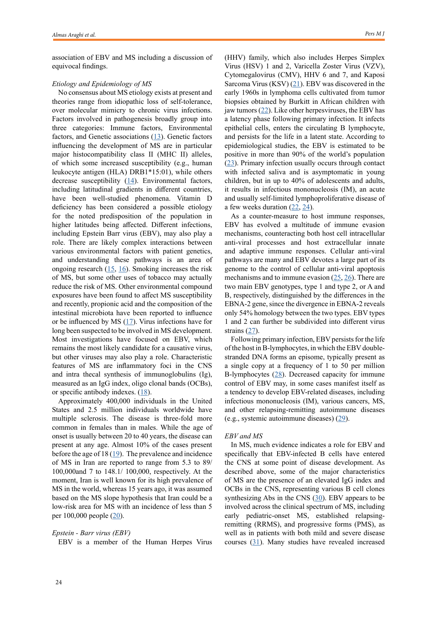association of EBV and MS including a discussion of equivocal findings.

## *Etiology and Epidemiology of MS*

No consensus about MS etiology exists at present and theories range from idiopathic loss of self-tolerance, over molecular mimicry to chronic virus infections. Factors involved in pathogenesis broadly group into three categories: Immune factors, Environmental factors, and Genetic associations  $(13)$  $(13)$  $(13)$ . Genetic factors influencing the development of MS are in particular major histocompatibility class II (MHC II) alleles, of which some increased susceptibility (e.g., human leukocyte antigen (HLA) DRB1\*15:01), while others decrease susceptibility  $(14)$  $(14)$  $(14)$ . Environmental factors, including latitudinal gradients in different countries, have been well-studied phenomena. Vitamin D deficiency has been considered a possible etiology for the noted predisposition of the population in higher latitudes being affected. Different infections, including Epstein Barr virus (EBV), may also play a role. There are likely complex interactions between various environmental factors with patient genetics, and understanding these pathways is an area of ongoing research  $(15, 16)$  $(15, 16)$  $(15, 16)$  $(15, 16)$  $(15, 16)$ . Smoking increases the risk of MS, but some other uses of tobacco may actually reduce the risk of MS. Other environmental compound exposures have been found to affect MS susceptibility and recently, propionic acid and the composition of the intestinal microbiota have been reported to influence or be influenced by MS  $(17)$  $(17)$  $(17)$ . Virus infections have for long been suspected to be involved in MS development. Most investigations have focused on EBV, which remains the most likely candidate for a causative virus, but other viruses may also play a role. Characteristic features of MS are inflammatory foci in the CNS and intra thecal synthesis of immunoglobulins (Ig), measured as an IgG index, oligo clonal bands (OCBs), or specific antibody indexes. ([18](Mirza A, Forbes JD, Zhu F, Bernstein CN, Van Domselaar G, Graham M, Waubant E, Tremlett H. Surveying the gut microbiota in multiple sclerosis: a systematic review (2008-2018). InMULTIPLE SCLEROSIS JOURNAL 2018 Oct 1 (Vol. 24, pp. 345-345). 1 OLIVERS YARD, 55 CITY ROAD, LONDON EC1Y 1SP, ENGLAND: SAGE PUBLICATIONS LTD)).

Approximately 400,000 individuals in the United States and 2.5 million individuals worldwide have multiple sclerosis. The disease is three-fold more common in females than in males. While the age of onset is usually between 20 to 40 years, the disease can present at any age. Almost 10% of the cases present before the age of  $18(19)$  $18(19)$  $18(19)$ . The prevalence and incidence of MS in Iran are reported to range from 5.3 to 89/ 100,000and 7 to 148.1/ 100,000, respectively. At the moment, Iran is well known for its high prevalence of MS in the world, whereas 15 years ago, it was assumed based on the MS slope hypothesis that Iran could be a low-risk area for MS with an incidence of less than 5 per 100,000 people ([20\)](Azami M, YektaKooshali MH, Shohani M, Khorshidi A, Mahmudi L. Epidemiology of multiple sclerosis in Iran: A systematic review and meta-analysis. PloS one. 2019 Apr 9;14(4):e0214738.
).

# *Epstein - Barr virus (EBV)*

EBV is a member of the Human Herpes Virus

(HHV) family, which also includes Herpes Simplex Virus (HSV) 1 and 2, Varicella Zoster Virus (VZV), Cytomegalovirus (CMV), HHV 6 and 7, and Kaposi Sarcoma Virus (KSV)  $(21)$  $(21)$  $(21)$ . EBV was discovered in the early 1960s in lymphoma cells cultivated from tumor biopsies obtained by Burkitt in African children with jaw tumors  $(22)$  $(22)$  $(22)$ . Like other herpesviruses, the EBV has a latency phase following primary infection. It infects epithelial cells, enters the circulating B lymphocyte, and persists for the life in a latent state. According to epidemiological studies, the EBV is estimated to be positive in more than 90% of the world's population [\(23](Tzellos S, Farrell PJ. Epstein-Barr virus sequence variation—biology and disease. Pathogens. 2012 Dec;1(2):156-74.
)). Primary infection usually occurs through contact with infected saliva and is asymptomatic in young children, but in up to 40% of adolescents and adults, it results in infectious mononucleosis (IM), an acute and usually self-limited lymphoproliferative disease of a few weeks duration  $(22, 24)$  $(22, 24)$  $(22, 24)$  $(22, 24)$  $(22, 24)$ .

As a counter-measure to host immune responses, EBV has evolved a multitude of immune evasion mechanisms, counteracting both host cell intracellular anti-viral processes and host extracellular innate and adaptive immune responses. Cellular anti-viral pathways are many and EBV devotes a large part of its genome to the control of cellular anti-viral apoptosis mechanisms and to immune evasion ([25](Correale J, Gaitan MI. Multiple sclerosis and environmental factors: the role of vitamin D, parasites, and Epstein–Barr virus infection. Acta Neurologica Scandinavica. 2015 Jul;132:46-55.
), [26](Jouanguy E, Béziat V, Mogensen TH, Casanova JL, Tangye SG, Zhang SY. Human inborn errors of immunity to herpes viruses. Current opinion in immunology. 2020 Feb 1;62:106-22.)). There are two main EBV genotypes, type 1 and type 2, or A and B, respectively, distinguished by the differences in the EBNA-2 gene, since the divergence in EBNA-2 reveals only 54% homology between the two types. EBV types 1 and 2 can further be subdivided into different virus strains  $(27)$  $(27)$  $(27)$ .

Following primary infection, EBV persists for the life of the host in B-lymphocytes, in which the EBV doublestranded DNA forms an episome, typically present as a single copy at a frequency of 1 to 50 per million B-lymphocytes ([28](Laurence M, Benito-León J. Epstein–Barr virus and multiple sclerosis: Updating Pender’s hypothesis. Multiple sclerosis and related disorders. 2017 Aug 1;16:8-14.
)). Decreased capacity for immune control of EBV may, in some cases manifest itself as a tendency to develop EBV-related diseases, including infectious mononucleosis (IM), various cancers, MS, and other relapsing-remitting autoimmune diseases (e.g., systemic autoimmune diseases) ([29\)](Majerciak V, Yang W, Zheng J, Zhu J, Zheng ZM. A genome-wide Epstein-Barr virus polyadenylation map and its antisense RNA to EBNA. Journal of virology. 2019 Jan 4;93(2):e01593-18.
).

## *EBV and MS*

In MS, much evidence indicates a role for EBV and specifically that EBV-infected B cells have entered the CNS at some point of disease development. As described above, some of the major characteristics of MS are the presence of an elevated IgG index and OCBs in the CNS, representing various B cell clones synthesizing Abs in the CNS  $(30)$  $(30)$  $(30)$ . EBV appears to be involved across the clinical spectrum of MS, including early pediatric-onset MS, established relapsingremitting (RRMS), and progressive forms (PMS), as well as in patients with both mild and severe disease courses [\(31](Makhani N, Lebrun C, Siva A, Narula S, Wassmer E, Brassat D, Brenton JN, Cabre P, Carra Dallière C, De Seze J, Durand Dubief F. Oligoclonal bands increase the specificity of MRI criteria to predict multiple sclerosis in children with radiologically isolated syndrome. Multiple Sclerosis Journal–Experimental, Translational and Clinical. 2019 Mar;5(1):2055217319836664.
)). Many studies have revealed increased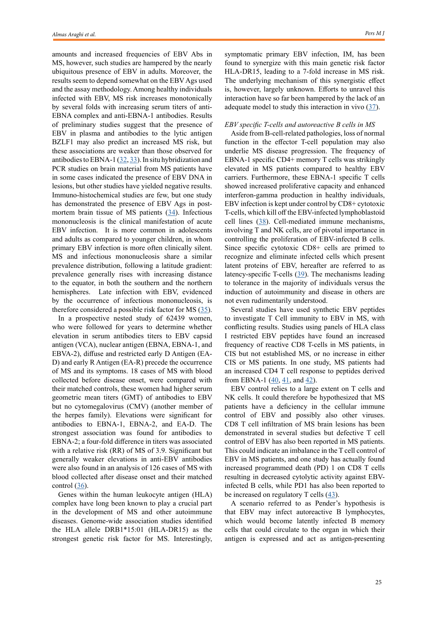amounts and increased frequencies of EBV Abs in MS, however, such studies are hampered by the nearly ubiquitous presence of EBV in adults. Moreover, the results seem to depend somewhat on the EBV Ags used and the assay methodology. Among healthy individuals infected with EBV, MS risk increases monotonically by several folds with increasing serum titers of anti-EBNA complex and anti-EBNA-1 antibodies. Results of preliminary studies suggest that the presence of EBV in plasma and antibodies to the lytic antigen BZLF1 may also predict an increased MS risk, but these associations are weaker than those observed for antibodies to EBNA-1 ([32](Veroni C, Serafini B, Rosicarelli B, Fagnani C, Aloisi F. Transcriptional profile and Epstein-Barr virus infection status of laser-cut immune infiltrates from the brain of patients with progressive multiple sclerosis. Journal of neuroinflammation. 2018 Dec;15(1):1-9.
), [33](Marcucci SB, Obeidat AZ. EBNA1, EBNA2, and EBNA3 link Epstein-Barr virus and hypovitaminosis D in multiple sclerosis pathogenesis. Journal of Neuroimmunology. 2020 Feb 15;339:577116.
)). In situ hybridization and PCR studies on brain material from MS patients have in some cases indicated the presence of EBV DNA in lesions, but other studies have yielded negative results. Immuno-histochemical studies are few, but one study has demonstrated the presence of EBV Ags in postmortem brain tissue of MS patients  $(34)$  $(34)$  $(34)$ . Infectious mononucleosis is the clinical manifestation of acute EBV infection. It is more common in adolescents and adults as compared to younger children, in whom primary EBV infection is more often clinically silent. MS and infectious mononucleosis share a similar prevalence distribution, following a latitude gradient: prevalence generally rises with increasing distance to the equator, in both the southern and the northern hemispheres. Late infection with EBV, evidenced by the occurrence of infectious mononucleosis, is therefore considered a possible risk factor for MS ([35](Marrodan M, Alessandro L, Farez MF, Correale J. The role of infections in multiple sclerosis. Multiple Sclerosis Journal. 2019 Jun;25(7):891-901.
)).

In a prospective nested study of 62439 women, who were followed for years to determine whether elevation in serum antibodies titers to EBV capsid antigen (VCA), nuclear antigen (EBNA, EBNA-1, and EBVA-2), diffuse and restricted early D Antigen (EA-D) and early R Antigen (EA-R) precede the occurrence of MS and its symptoms. 18 cases of MS with blood collected before disease onset, were compared with their matched controls, these women had higher serum geometric mean titers (GMT) of antibodies to EBV but no cytomegalovirus (CMV) (another member of the herpes family). Elevations were significant for antibodies to EBNA-1, EBNA-2, and EA-D. The strongest association was found for antibodies to EBNA-2; a four-fold difference in titers was associated with a relative risk (RR) of MS of 3.9. Significant but generally weaker elevations in anti-EBV antibodies were also found in an analysis of 126 cases of MS with blood collected after disease onset and their matched control  $(36)$  $(36)$  $(36)$ .

Genes within the human leukocyte antigen (HLA) complex have long been known to play a crucial part in the development of MS and other autoimmune diseases. Genome-wide association studies identified the HLA allele DRB1\*15:01 (HLA-DR15) as the strongest genetic risk factor for MS. Interestingly, symptomatic primary EBV infection, IM, has been found to synergize with this main genetic risk factor HLA-DR15, leading to a 7-fold increase in MS risk. The underlying mechanism of this synergistic effect is, however, largely unknown. Efforts to unravel this interaction have so far been hampered by the lack of an adequate model to study this interaction in vivo ([37](Läderach F, Münz C. Epstein Barr Virus Exploits Genetic Susceptibility to Increase Multiple Sclerosis Risk. Microorganisms. 2021 Nov;9(11):2191.
)).

### *EBV specific T-cells and autoreactive B cells in MS*

Aside from B-cell-related pathologies, loss of normal function in the effector T-cell population may also underlie MS disease progression. The frequency of EBNA-1 specific CD4+ memory T cells was strikingly elevated in MS patients compared to healthy EBV carriers. Furthermore, these EBNA-1 specific T cells showed increased proliferative capacity and enhanced interferon-gamma production in healthy individuals, EBV infection is kept under control by CD8+ cytotoxic T-cells, which kill off the EBV-infected lymphoblastoid cell lines ([38](Lünemann JD, Tintoré M, Messmer B, Strowig T, Rovira Á, Perkal H, Caballero E, Münz C, Montalban X, Comabella M. Elevated Epstein–Barr virus‐encoded nuclear antigen‐1 immune responses predict conversion to multiple sclerosis. Annals of Neurology: Official Journal of the American Neurological Association and the Child Neurology Society. 2010 Feb;67(2):159-69.
)). Cell-mediated immune mechanisms, involving T and NK cells, are of pivotal importance in controlling the proliferation of EBV-infected B cells. Since specific cytotoxic CD8+ cells are primed to recognize and eliminate infected cells which present latent proteins of EBV, hereafter are referred to as latency-specific T-cells ([39](Donati D. Viral infections and multiple sclerosis. Drug Discovery Today: Disease Models. 2020 Sep 1;32:27-33.
)). The mechanisms leading to tolerance in the majority of individuals versus the induction of autoimmunity and disease in others are not even rudimentarily understood.

Several studies have used synthetic EBV peptides to investigate T Cell immunity to EBV in MS, with conflicting results. Studies using panels of HLA class I restricted EBV peptides have found an increased frequency of reactive CD8 T-cells in MS patients, in CIS but not established MS, or no increase in either CIS or MS patients. In one study, MS patients had an increased CD4 T cell response to peptides derived from EBNA-1  $(40, 41, 41)$  $(40, 41, 41)$  $(40, 41, 41)$  $(40, 41, 41)$  $(40, 41, 41)$  and  $(42)$  $(42)$  $(42)$ .

EBV control relies to a large extent on T cells and NK cells. It could therefore be hypothesized that MS patients have a deficiency in the cellular immune control of EBV and possibly also other viruses. CD8 T cell infiltration of MS brain lesions has been demonstrated in several studies but defective T cell control of EBV has also been reported in MS patients. This could indicate an imbalance in the T cell control of EBV in MS patients, and one study has actually found increased programmed death (PD) 1 on CD8 T cells resulting in decreased cytolytic activity against EBVinfected B cells, while PD1 has also been reported to be increased on regulatory T cells  $(43)$  $(43)$ .

A scenario referred to as Pender's hypothesis is that EBV may infect autoreactive B lymphocytes, which would become latently infected B memory cells that could circulate to the organ in which their antigen is expressed and act as antigen-presenting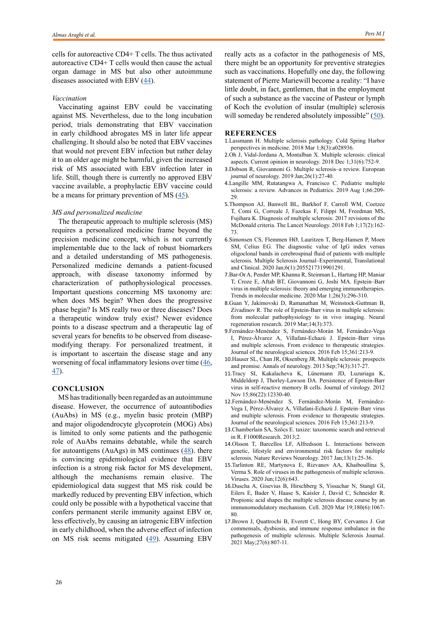cells for autoreactive CD4+ T cells. The thus activated autoreactive CD4+ T cells would then cause the actual organ damage in MS but also other autoimmune diseases associated with EBV  $(44)$  $(44)$ .

#### *Vaccination*

Vaccinating against EBV could be vaccinating against MS. Nevertheless, due to the long incubation period, trials demonstrating that EBV vaccination in early childhood abrogates MS in later life appear challenging. It should also be noted that EBV vaccines that would not prevent EBV infection but rather delay it to an older age might be harmful, given the increased risk of MS associated with EBV infection later in life. Still, though there is currently no approved EBV vaccine available, a prophylactic EBV vaccine could be a means for primary prevention of MS  $(45)$  $(45)$  $(45)$ .

## *MS and personalized medicine*

The therapeutic approach to multiple sclerosis (MS) requires a personalized medicine frame beyond the precision medicine concept, which is not currently implementable due to the lack of robust biomarkers and a detailed understanding of MS pathogenesis. Personalized medicine demands a patient-focused approach, with disease taxonomy informed by characterization of pathophysiological processes. Important questions concerning MS taxonomy are: when does MS begin? When does the progressive phase begin? Is MS really two or three diseases? Does a therapeutic window truly exist? Newer evidence points to a disease spectrum and a therapeutic lag of several years for benefits to be observed from diseasemodifying therapy. For personalized treatment, it is important to ascertain the disease stage and any worsening of focal inflammatory lesions over time ([46](Giovannoni G. Personalized medicine in multiple sclerosis. Neurodegenerative disease management. 2017 Nov;7(6s):13-7.
), [47\)](Klineova S, Lublin FD. Clinical course of multiple sclerosis. Cold Spring Harbor perspectives in medicine. 2018 Sep 1;8(9):a028928.
).

## **CONCLUSION**

MS has traditionally been regarded as an autoimmune disease. However, the occurrence of autoantibodies (AuAbs) in MS (e.g., myelin basic protein (MBP) and major oligodendrocyte glycoprotein (MOG) Abs) is limited to only some patients and the pathogenic role of AuAbs remains debatable, while the search for autoantigens (AuAgs) in MS continues  $(48)$  $(48)$  $(48)$ . there is convincing epidemiological evidence that EBV infection is a strong risk factor for MS development, although the mechanisms remain elusive. The epidemiological data suggest that MS risk could be markedly reduced by preventing EBV infection, which could only be possible with a hypothetical vaccine that confers permanent sterile immunity against EBV or, less effectively, by causing an iatrogenic EBV infection in early childhood, when the adverse effect of infection on MS risk seems mitigated ([49](Fugl A, Andersen CL. Epstein-Barr virus and its association with disease-a review of relevance to general practice. BMC family practice. 2019 Dec;20(1):1-8.
)). Assuming EBV really acts as a cofactor in the pathogenesis of MS, there might be an opportunity for preventive strategies such as vaccinations. Hopefully one day, the following statement of Pierre Mariewill become a reality: "I have little doubt, in fact, gentlemen, that in the employment of such a substance as the vaccine of Pasteur or lymph of Koch the evolution of insular (multiple) sclerosis will someday be rendered absolutely impossible"  $(50)$  $(50)$ .

## **REFERENCES**

- 1.Lassmann H. Multiple sclerosis pathology. Cold Spring Harbor perspectives in medicine. 2018 Mar 1;8(3):a028936.
- 2.Oh J, Vidal-Jordana A, Montalban X. Multiple sclerosis: clinical aspects. Current opinion in neurology. 2018 Dec 1;31(6):752-9.
- 3.Dobson R, Giovannoni G. Multiple sclerosis–a review. European journal of neurology. 2019 Jan;26(1):27-40.
- 4.Langille MM, Rutatangwa A, Francisco C. Pediatric multiple sclerosis: a review. Advances in Pediatrics. 2019 Aug 1;66:209- 29.
- 5.Thompson AJ, Banwell BL, Barkhof F, Carroll WM, Coetzee T, Comi G, Correale J, Fazekas F, Filippi M, Freedman MS, Fujihara K. Diagnosis of multiple sclerosis: 2017 revisions of the McDonald criteria. The Lancet Neurology. 2018 Feb 1;17(2):162- 73.
- 6.Simonsen CS, Flemmen HØ, Lauritzen T, Berg-Hansen P, Moen SM, Celius EG. The diagnostic value of IgG index versus oligoclonal bands in cerebrospinal fluid of patients with multiple sclerosis. Multiple Sclerosis Journal–Experimental, Translational and Clinical. 2020 Jan;6(1):2055217319901291.
- 7.Bar-Or A, Pender MP, Khanna R, Steinman L, Hartung HP, Maniar T, Croze E, Aftab BT, Giovannoni G, Joshi MA. Epstein–Barr virus in multiple sclerosis: theory and emerging immunotherapies. Trends in molecular medicine. 2020 Mar 1;26(3):296-310.
- 8.Guan Y, Jakimovski D, Ramanathan M, Weinstock-Guttman B, Zivadinov R. The role of Epstein-Barr virus in multiple sclerosis: from molecular pathophysiology to in vivo imaging. Neural regeneration research. 2019 Mar;14(3):373.
- 9.Fernández-Menéndez S, Fernández-Morán M, Fernández-Vega I, Pérez-Álvarez A, Villafani-Echazú J. Epstein–Barr virus and multiple sclerosis. From evidence to therapeutic strategies. Journal of the neurological sciences. 2016 Feb 15;361:213-9.
- 10.Hauser SL, Chan JR, Oksenberg JR. Multiple sclerosis: prospects and promise. Annals of neurology. 2013 Sep;74(3):317-27.
- 11.Tracy SI, Kakalacheva K, Lünemann JD, Luzuriaga K, Middeldorp J, Thorley-Lawson DA. Persistence of Epstein-Barr virus in self-reactive memory B cells. Journal of virology. 2012 Nov 15;86(22):12330-40.
- 12.Fernández-Menéndez S, Fernández-Morán M, Fernández-Vega I, Pérez-Álvarez A, Villafani-Echazú J. Epstein–Barr virus and multiple sclerosis. From evidence to therapeutic strategies. Journal of the neurological sciences. 2016 Feb 15;361:213-9.
- 13.Chamberlain SA, Szöcs E. taxize: taxonomic search and retrieval in R. F1000Research. 2013;2.
- 14.Olsson T, Barcellos LF, Alfredsson L. Interactions between genetic, lifestyle and environmental risk factors for multiple sclerosis. Nature Reviews Neurology. 2017 Jan;13(1):25-36.
- 15.Tarlinton RE, Martynova E, Rizvanov AA, Khaiboullina S, Verma S. Role of viruses in the pathogenesis of multiple sclerosis. Viruses. 2020 Jun;12(6):643.
- 16.Duscha A, Gisevius B, Hirschberg S, Yissachar N, Stangl GI, Eilers E, Bader V, Haase S, Kaisler J, David C, Schneider R. Propionic acid shapes the multiple sclerosis disease course by an immunomodulatory mechanism. Cell. 2020 Mar 19;180(6):1067- 80.
- 17.Brown J, Quattrochi B, Everett C, Hong BY, Cervantes J. Gut commensals, dysbiosis, and immune response imbalance in the pathogenesis of multiple sclerosis. Multiple Sclerosis Journal. 2021 May;27(6):807-11.